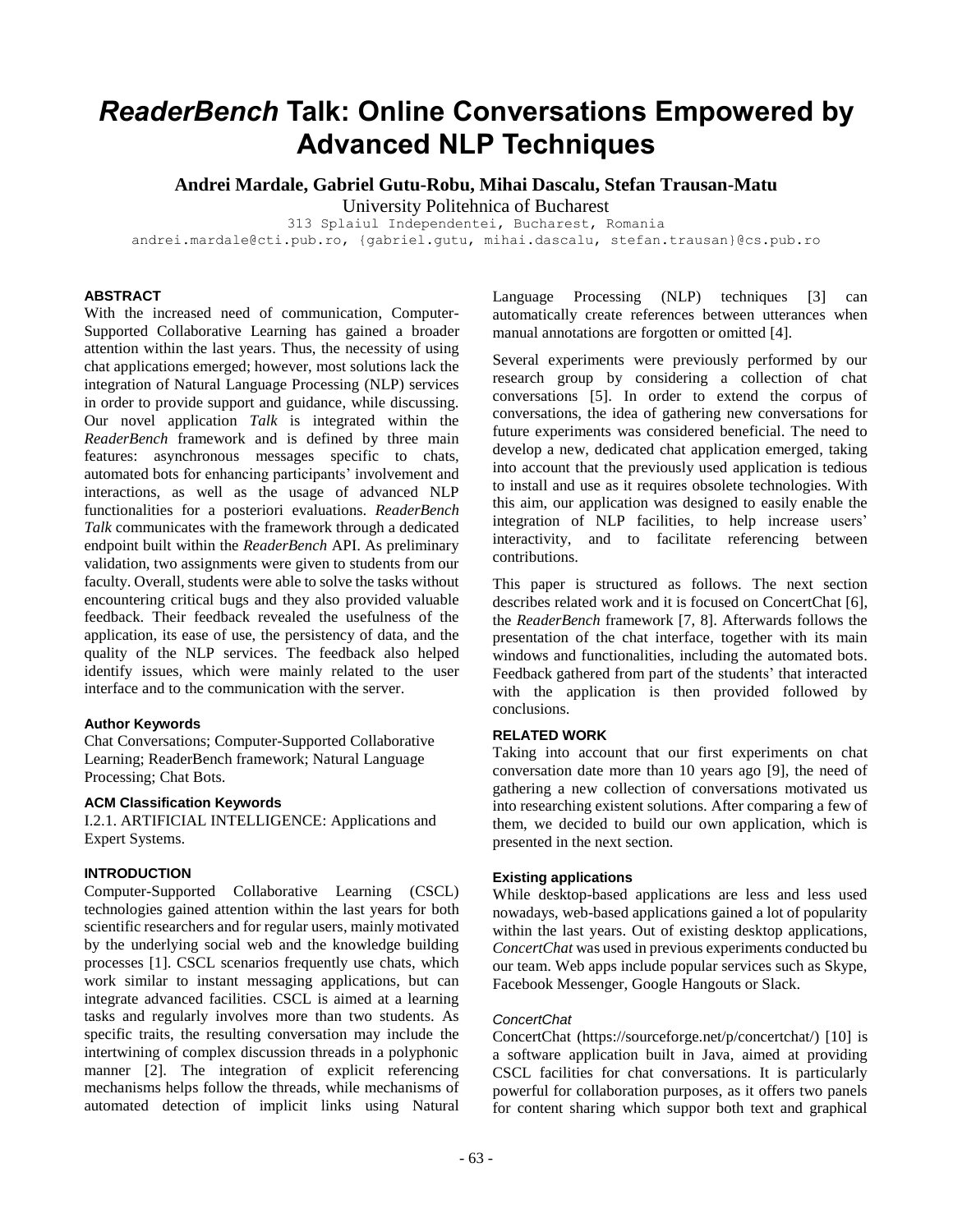# *ReaderBench* **Talk: Online Conversations Empowered by Advanced NLP Techniques**

**Andrei Mardale, Gabriel Gutu-Robu, Mihai Dascalu, Stefan Trausan-Matu**

University Politehnica of Bucharest

313 Splaiul Independentei, Bucharest, Romania

andrei.mardale@cti.pub.ro, {gabriel.gutu, mihai.dascalu, stefan.trausan}@cs.pub.ro

# **ABSTRACT**

With the increased need of communication, Computer-Supported Collaborative Learning has gained a broader attention within the last years. Thus, the necessity of using chat applications emerged; however, most solutions lack the integration of Natural Language Processing (NLP) services in order to provide support and guidance, while discussing. Our novel application *Talk* is integrated within the *ReaderBench* framework and is defined by three main features: asynchronous messages specific to chats, automated bots for enhancing participants' involvement and interactions, as well as the usage of advanced NLP functionalities for a posteriori evaluations. *ReaderBench Talk* communicates with the framework through a dedicated endpoint built within the *ReaderBench* API. As preliminary validation, two assignments were given to students from our faculty. Overall, students were able to solve the tasks without encountering critical bugs and they also provided valuable feedback. Their feedback revealed the usefulness of the application, its ease of use, the persistency of data, and the quality of the NLP services. The feedback also helped identify issues, which were mainly related to the user interface and to the communication with the server.

# **Author Keywords**

Chat Conversations; Computer-Supported Collaborative Learning; ReaderBench framework; Natural Language Processing; Chat Bots.

# **ACM Classification Keywords**

I.2.1. ARTIFICIAL INTELLIGENCE: Applications and Expert Systems.

# **INTRODUCTION**

Computer-Supported Collaborative Learning (CSCL) technologies gained attention within the last years for both scientific researchers and for regular users, mainly motivated by the underlying social web and the knowledge building processes [1]. CSCL scenarios frequently use chats, which work similar to instant messaging applications, but can integrate advanced facilities. CSCL is aimed at a learning tasks and regularly involves more than two students. As specific traits, the resulting conversation may include the intertwining of complex discussion threads in a polyphonic manner [2]. The integration of explicit referencing mechanisms helps follow the threads, while mechanisms of automated detection of implicit links using Natural

Language Processing (NLP) techniques [3] can automatically create references between utterances when manual annotations are forgotten or omitted [4].

Several experiments were previously performed by our research group by considering a collection of chat conversations [5]. In order to extend the corpus of conversations, the idea of gathering new conversations for future experiments was considered beneficial. The need to develop a new, dedicated chat application emerged, taking into account that the previously used application is tedious to install and use as it requires obsolete technologies. With this aim, our application was designed to easily enable the integration of NLP facilities, to help increase users' interactivity, and to facilitate referencing between contributions.

This paper is structured as follows. The next section describes related work and it is focused on ConcertChat [6], the *ReaderBench* framework [7, 8]. Afterwards follows the presentation of the chat interface, together with its main windows and functionalities, including the automated bots. Feedback gathered from part of the students' that interacted with the application is then provided followed by conclusions.

## **RELATED WORK**

Taking into account that our first experiments on chat conversation date more than 10 years ago [9], the need of gathering a new collection of conversations motivated us into researching existent solutions. After comparing a few of them, we decided to build our own application, which is presented in the next section.

#### **Existing applications**

While desktop-based applications are less and less used nowadays, web-based applications gained a lot of popularity within the last years. Out of existing desktop applications, *ConcertChat* was used in previous experiments conducted bu our team. Web apps include popular services such as Skype, Facebook Messenger, Google Hangouts or Slack.

## *ConcertChat*

ConcertChat (https://sourceforge.net/p/concertchat/) [10] is a software application built in Java, aimed at providing CSCL facilities for chat conversations. It is particularly powerful for collaboration purposes, as it offers two panels for content sharing which suppor both text and graphical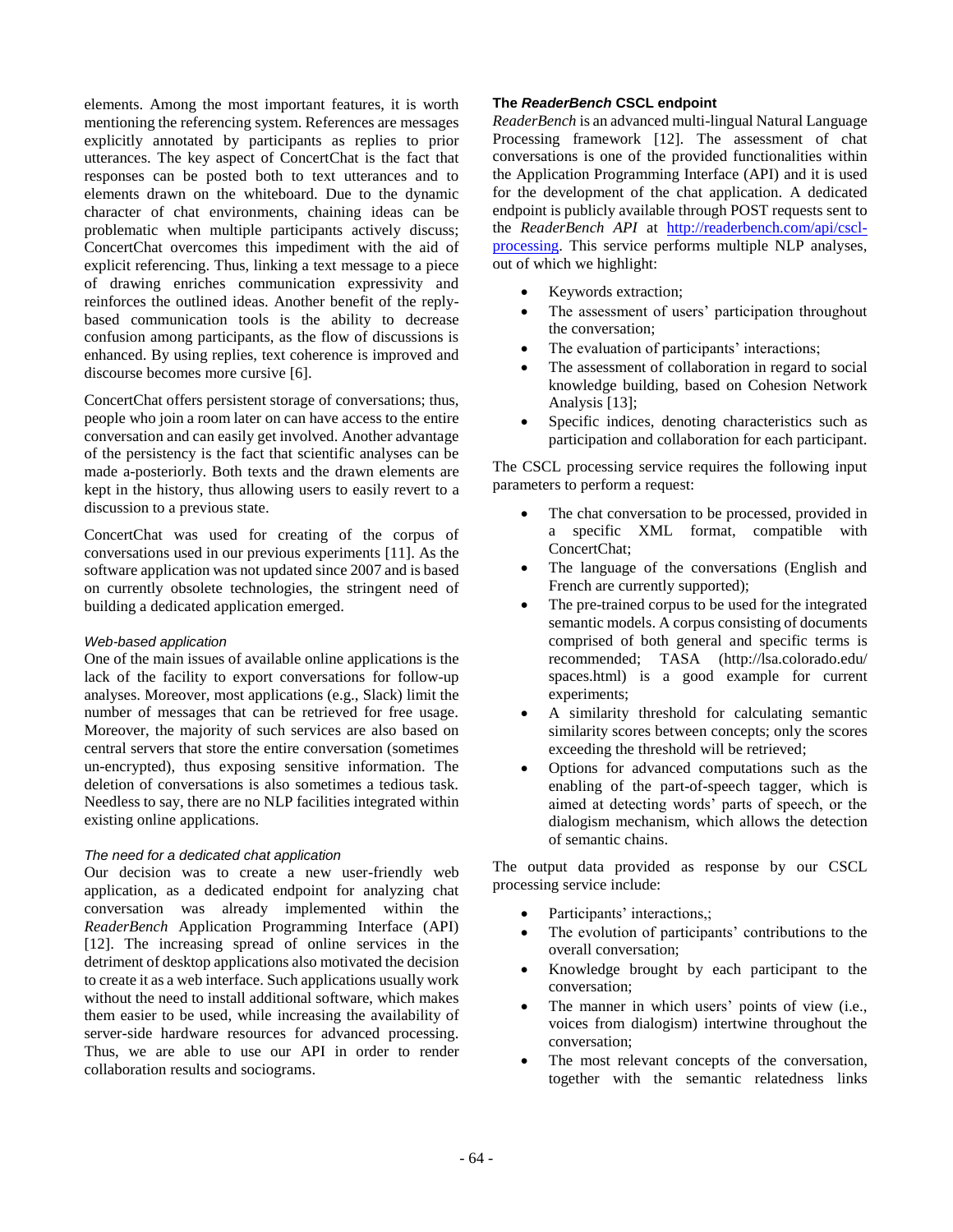elements. Among the most important features, it is worth mentioning the referencing system. References are messages explicitly annotated by participants as replies to prior utterances. The key aspect of ConcertChat is the fact that responses can be posted both to text utterances and to elements drawn on the whiteboard. Due to the dynamic character of chat environments, chaining ideas can be problematic when multiple participants actively discuss; ConcertChat overcomes this impediment with the aid of explicit referencing. Thus, linking a text message to a piece of drawing enriches communication expressivity and reinforces the outlined ideas. Another benefit of the replybased communication tools is the ability to decrease confusion among participants, as the flow of discussions is enhanced. By using replies, text coherence is improved and discourse becomes more cursive [6].

ConcertChat offers persistent storage of conversations; thus, people who join a room later on can have access to the entire conversation and can easily get involved. Another advantage of the persistency is the fact that scientific analyses can be made a-posteriorly. Both texts and the drawn elements are kept in the history, thus allowing users to easily revert to a discussion to a previous state.

ConcertChat was used for creating of the corpus of conversations used in our previous experiments [11]. As the software application was not updated since 2007 and is based on currently obsolete technologies, the stringent need of building a dedicated application emerged.

#### *Web-based application*

One of the main issues of available online applications is the lack of the facility to export conversations for follow-up analyses. Moreover, most applications (e.g., Slack) limit the number of messages that can be retrieved for free usage. Moreover, the majority of such services are also based on central servers that store the entire conversation (sometimes un-encrypted), thus exposing sensitive information. The deletion of conversations is also sometimes a tedious task. Needless to say, there are no NLP facilities integrated within existing online applications.

#### *The need for a dedicated chat application*

Our decision was to create a new user-friendly web application, as a dedicated endpoint for analyzing chat conversation was already implemented within the *ReaderBench* Application Programming Interface (API) [12]. The increasing spread of online services in the detriment of desktop applications also motivated the decision to create it as a web interface. Such applications usually work without the need to install additional software, which makes them easier to be used, while increasing the availability of server-side hardware resources for advanced processing. Thus, we are able to use our API in order to render collaboration results and sociograms.

# **The** *ReaderBench* **CSCL endpoint**

*ReaderBench* is an advanced multi-lingual Natural Language Processing framework [12]. The assessment of chat conversations is one of the provided functionalities within the Application Programming Interface (API) and it is used for the development of the chat application. A dedicated endpoint is publicly available through POST requests sent to the *ReaderBench API* at [http://readerbench.com/api/cscl](http://readerbench.com/api/cscl-processing)[processing.](http://readerbench.com/api/cscl-processing) This service performs multiple NLP analyses, out of which we highlight:

- Keywords extraction;
- The assessment of users' participation throughout the conversation;
- The evaluation of participants' interactions;
- The assessment of collaboration in regard to social knowledge building, based on Cohesion Network Analysis [13];
- Specific indices, denoting characteristics such as participation and collaboration for each participant.

The CSCL processing service requires the following input parameters to perform a request:

- The chat conversation to be processed, provided in a specific XML format, compatible with ConcertChat;
- The language of the conversations (English and French are currently supported);
- The pre-trained corpus to be used for the integrated semantic models. A corpus consisting of documents comprised of both general and specific terms is recommended; TASA (http://lsa.colorado.edu/ spaces.html) is a good example for current experiments;
- A similarity threshold for calculating semantic similarity scores between concepts; only the scores exceeding the threshold will be retrieved;
- Options for advanced computations such as the enabling of the part-of-speech tagger, which is aimed at detecting words' parts of speech, or the dialogism mechanism, which allows the detection of semantic chains.

The output data provided as response by our CSCL processing service include:

- Participants' interactions,;
- The evolution of participants' contributions to the overall conversation;
- Knowledge brought by each participant to the conversation;
- The manner in which users' points of view (i.e., voices from dialogism) intertwine throughout the conversation;
- The most relevant concepts of the conversation, together with the semantic relatedness links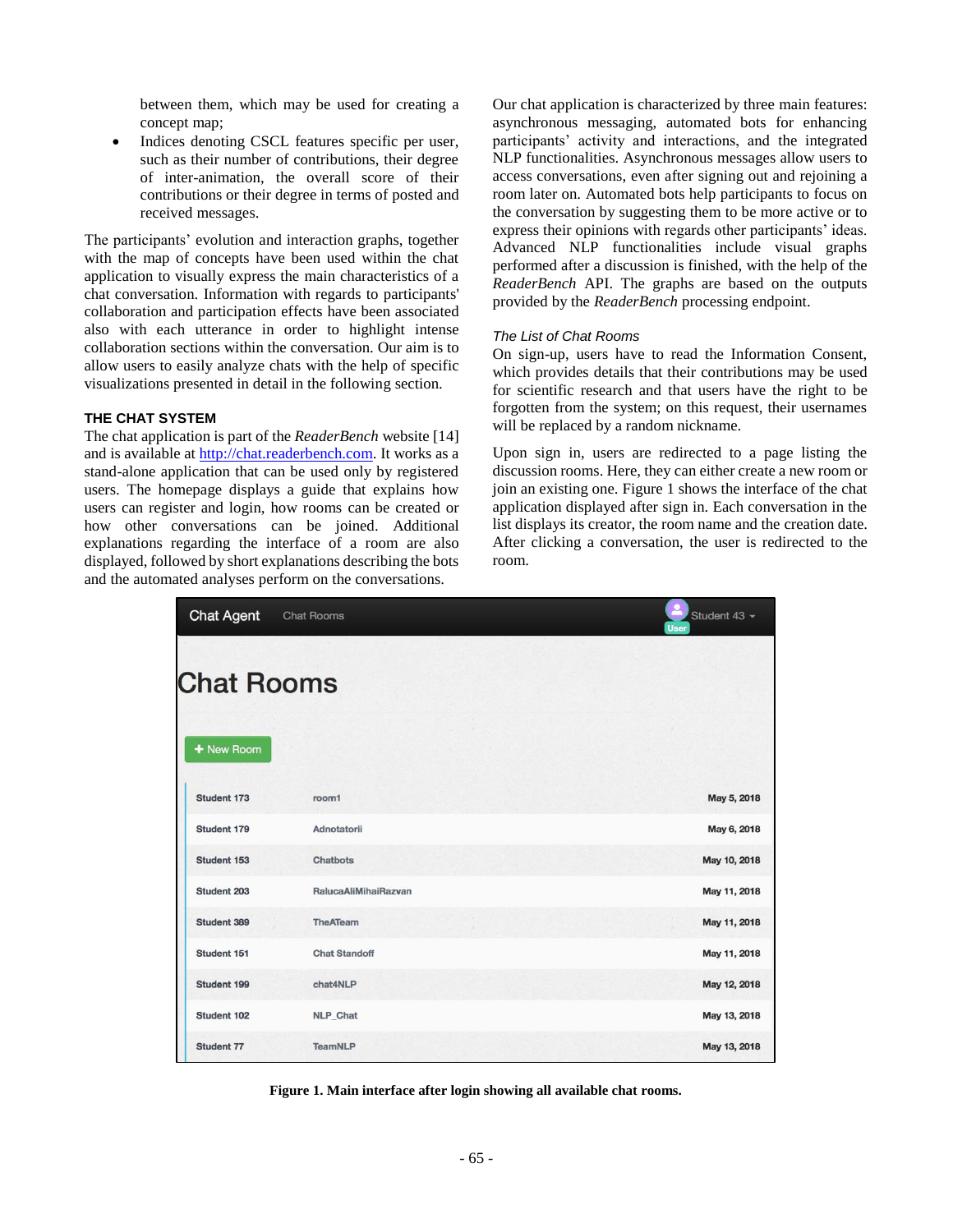between them, which may be used for creating a concept map;

Indices denoting CSCL features specific per user, such as their number of contributions, their degree of inter-animation, the overall score of their contributions or their degree in terms of posted and received messages.

The participants' evolution and interaction graphs, together with the map of concepts have been used within the chat application to visually express the main characteristics of a chat conversation. Information with regards to participants' collaboration and participation effects have been associated also with each utterance in order to highlight intense collaboration sections within the conversation. Our aim is to allow users to easily analyze chats with the help of specific visualizations presented in detail in the following section.

#### **THE CHAT SYSTEM**

The chat application is part of the *ReaderBench* website [14] and is available at [http://chat.readerbench.com.](http://chat.readerbench.com/) It works as a stand-alone application that can be used only by registered users. The homepage displays a guide that explains how users can register and login, how rooms can be created or how other conversations can be joined. Additional explanations regarding the interface of a room are also displayed, followed by short explanations describing the bots and the automated analyses perform on the conversations.

Our chat application is characterized by three main features: asynchronous messaging, automated bots for enhancing participants' activity and interactions, and the integrated NLP functionalities. Asynchronous messages allow users to access conversations, even after signing out and rejoining a room later on. Automated bots help participants to focus on the conversation by suggesting them to be more active or to express their opinions with regards other participants' ideas. Advanced NLP functionalities include visual graphs performed after a discussion is finished, with the help of the *ReaderBench* API. The graphs are based on the outputs provided by the *ReaderBench* processing endpoint.

#### *The List of Chat Rooms*

On sign-up, users have to read the Information Consent, which provides details that their contributions may be used for scientific research and that users have the right to be forgotten from the system; on this request, their usernames will be replaced by a random nickname.

Upon sign in, users are redirected to a page listing the discussion rooms. Here, they can either create a new room or join an existing one. Figure 1 shows the interface of the chat application displayed after sign in. Each conversation in the list displays its creator, the room name and the creation date. After clicking a conversation, the user is redirected to the room.

| <b>Chat Agent</b> | <b>Chat Rooms</b>    | Student 43 -<br><b>User</b> |  |  |  |
|-------------------|----------------------|-----------------------------|--|--|--|
| <b>Chat Rooms</b> |                      |                             |  |  |  |
| + New Room        |                      |                             |  |  |  |
| Student 173       | room1                | May 5, 2018                 |  |  |  |
| Student 179       | Adnotatorii          | May 6, 2018                 |  |  |  |
| Student 153       | <b>Chatbots</b>      | May 10, 2018                |  |  |  |
| Student 203       | RalucaAliMihaiRazvan | May 11, 2018                |  |  |  |
| Student 389       | TheATeam             | May 11, 2018                |  |  |  |
| Student 151       | <b>Chat Standoff</b> | May 11, 2018                |  |  |  |
| Student 199       | chat4NLP             | May 12, 2018                |  |  |  |
| Student 102       | NLP_Chat             | May 13, 2018                |  |  |  |
| Student 77        | <b>TeamNLP</b>       | May 13, 2018                |  |  |  |

**Figure 1. Main interface after login showing all available chat rooms.**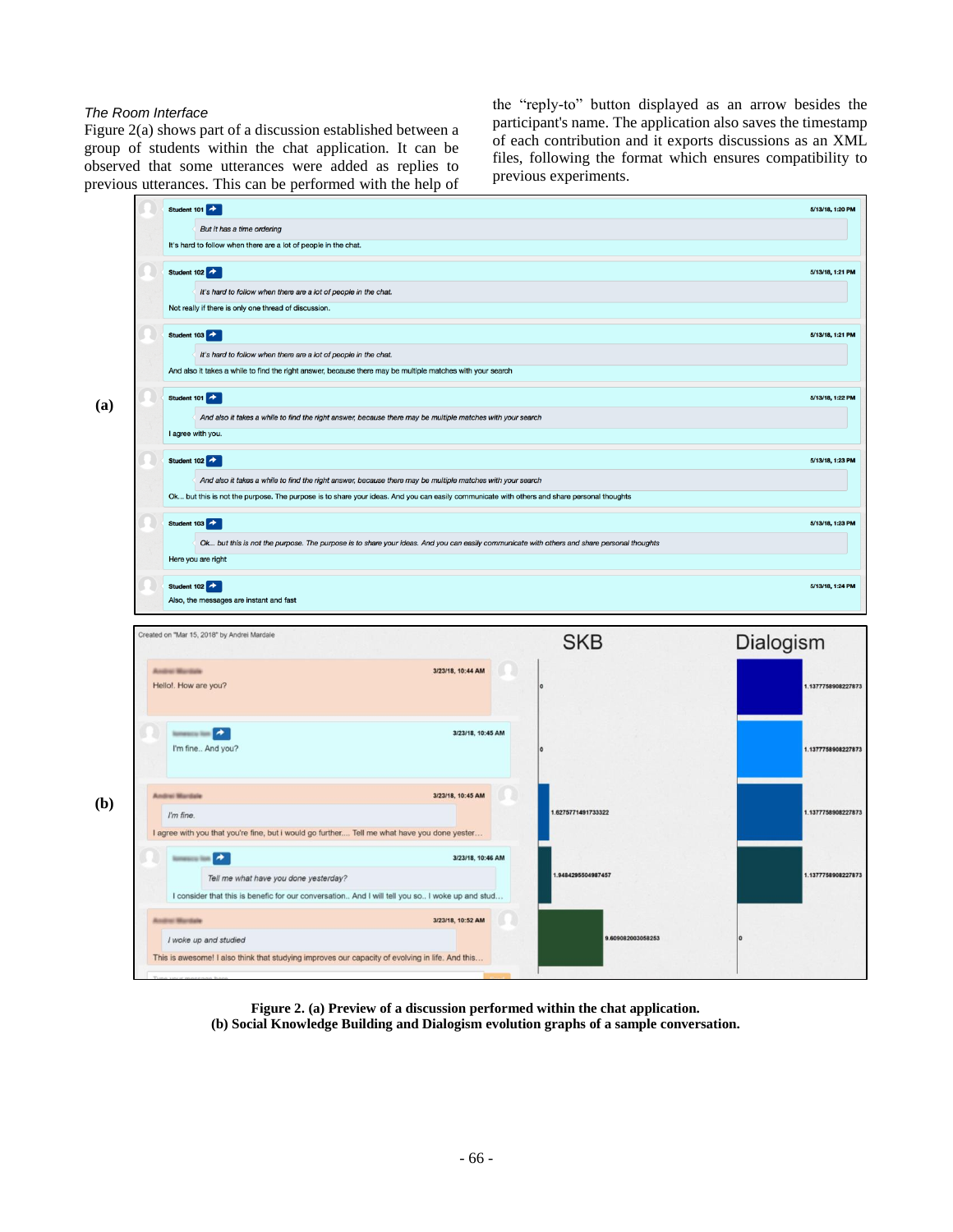# *The Room Interface*

Figure 2(a) shows part of a discussion established between a group of students within the chat application. It can be observed that some utterances were added as replies to previous utterances. This can be performed with the help of

the "reply-to" button displayed as an arrow besides the participant's name. The application also saves the timestamp of each contribution and it exports discussions as an XML files, following the format which ensures compatibility to previous experiments.



**Figure 2. (a) Preview of a discussion performed within the chat application. (b) Social Knowledge Building and Dialogism evolution graphs of a sample conversation.**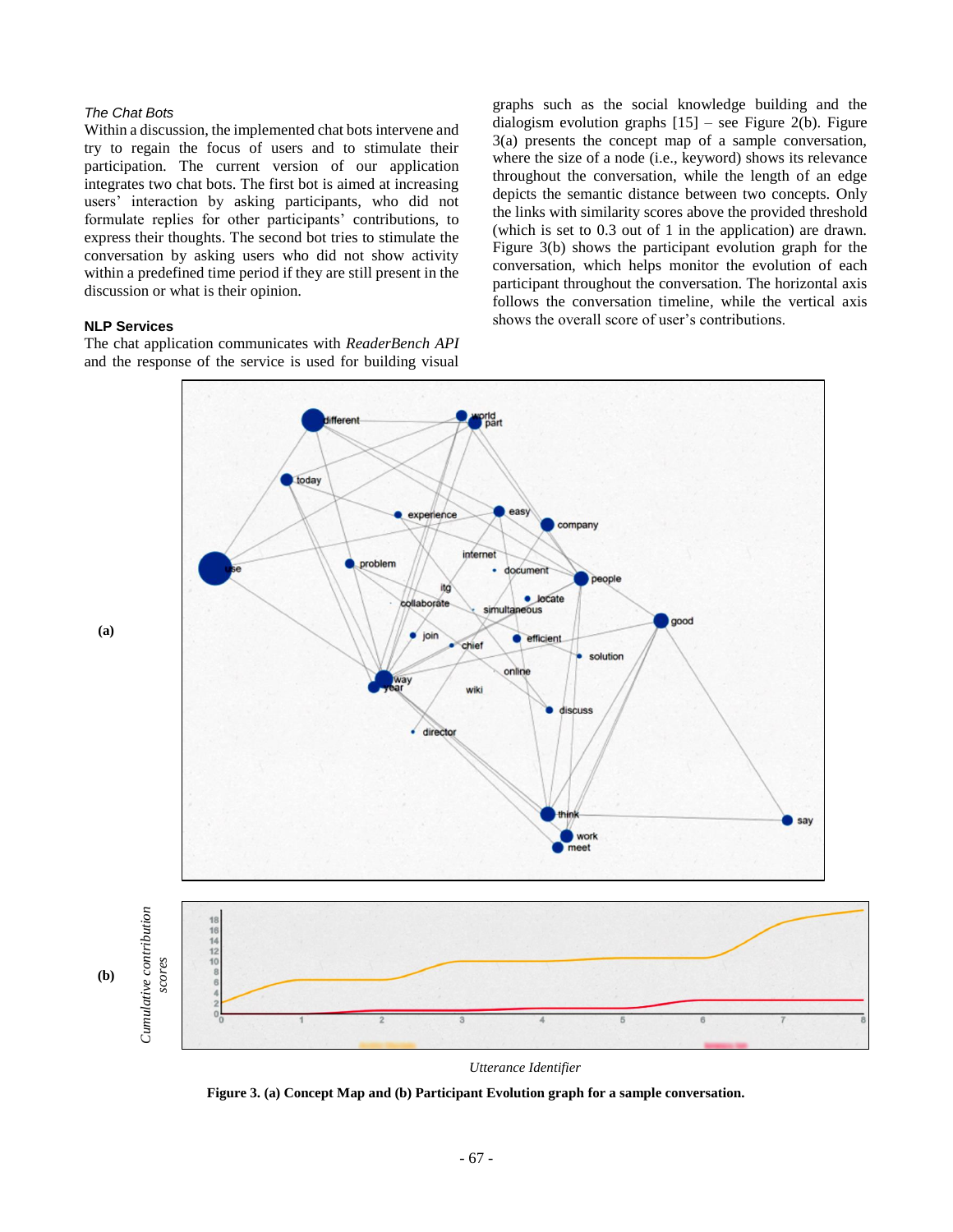# *The Chat Bots*

Within a discussion, the implemented chat bots intervene and try to regain the focus of users and to stimulate their participation. The current version of our application integrates two chat bots. The first bot is aimed at increasing users' interaction by asking participants, who did not formulate replies for other participants' contributions, to express their thoughts. The second bot tries to stimulate the conversation by asking users who did not show activity within a predefined time period if they are still present in the discussion or what is their opinion.

# **NLP Services**

The chat application communicates with *ReaderBench API* and the response of the service is used for building visual

graphs such as the social knowledge building and the dialogism evolution graphs  $[15]$  – see Figure 2(b). Figure 3(a) presents the concept map of a sample conversation, where the size of a node (i.e., keyword) shows its relevance throughout the conversation, while the length of an edge depicts the semantic distance between two concepts. Only the links with similarity scores above the provided threshold (which is set to 0.3 out of 1 in the application) are drawn. Figure 3(b) shows the participant evolution graph for the conversation, which helps monitor the evolution of each participant throughout the conversation. The horizontal axis follows the conversation timeline, while the vertical axis shows the overall score of user's contributions.



*Utterance Identifier*

**Figure 3. (a) Concept Map and (b) Participant Evolution graph for a sample conversation.**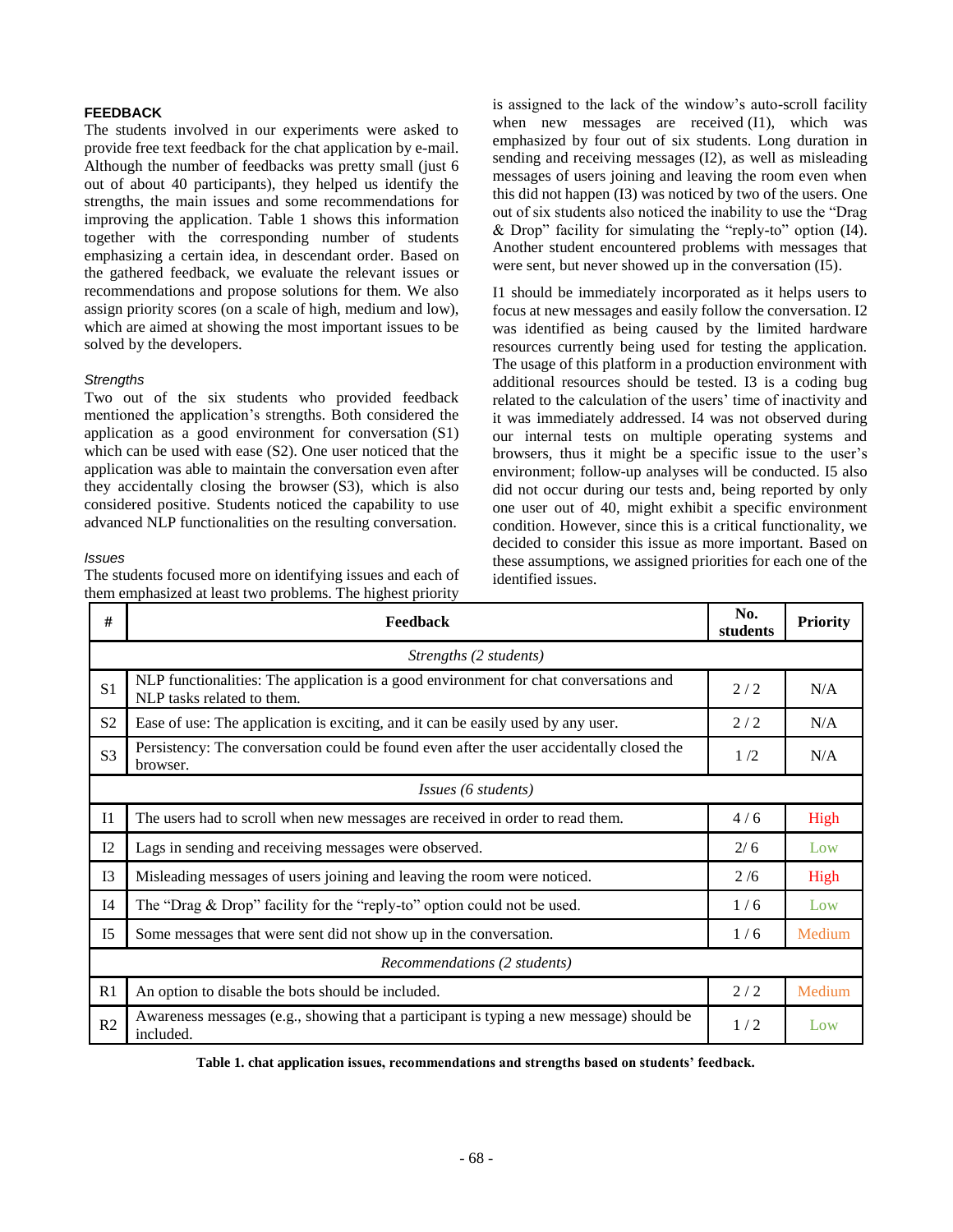# **FEEDBACK**

The students involved in our experiments were asked to provide free text feedback for the chat application by e-mail. Although the number of feedbacks was pretty small (just 6 out of about 40 participants), they helped us identify the strengths, the main issues and some recommendations for improving the application. Table 1 shows this information together with the corresponding number of students emphasizing a certain idea, in descendant order. Based on the gathered feedback, we evaluate the relevant issues or recommendations and propose solutions for them. We also assign priority scores (on a scale of high, medium and low), which are aimed at showing the most important issues to be solved by the developers.

### *Strengths*

Two out of the six students who provided feedback mentioned the application's strengths. Both considered the application as a good environment for conversation (S1) which can be used with ease (S2). One user noticed that the application was able to maintain the conversation even after they accidentally closing the browser (S3), which is also considered positive. Students noticed the capability to use advanced NLP functionalities on the resulting conversation.

#### *Issues*

The students focused more on identifying issues and each of them emphasized at least two problems. The highest priority

is assigned to the lack of the window's auto-scroll facility when new messages are received (I1), which was emphasized by four out of six students. Long duration in sending and receiving messages (I2), as well as misleading messages of users joining and leaving the room even when this did not happen (I3) was noticed by two of the users. One out of six students also noticed the inability to use the "Drag & Drop" facility for simulating the "reply-to" option (I4). Another student encountered problems with messages that were sent, but never showed up in the conversation (I5).

I1 should be immediately incorporated as it helps users to focus at new messages and easily follow the conversation. I2 was identified as being caused by the limited hardware resources currently being used for testing the application. The usage of this platform in a production environment with additional resources should be tested. I3 is a coding bug related to the calculation of the users' time of inactivity and it was immediately addressed. I4 was not observed during our internal tests on multiple operating systems and browsers, thus it might be a specific issue to the user's environment; follow-up analyses will be conducted. I5 also did not occur during our tests and, being reported by only one user out of 40, might exhibit a specific environment condition. However, since this is a critical functionality, we decided to consider this issue as more important. Based on these assumptions, we assigned priorities for each one of the identified issues.

| #                                  | Feedback                                                                                                            | No.<br>students | <b>Priority</b> |  |
|------------------------------------|---------------------------------------------------------------------------------------------------------------------|-----------------|-----------------|--|
| Strengths (2 students)             |                                                                                                                     |                 |                 |  |
| S <sub>1</sub>                     | NLP functionalities: The application is a good environment for chat conversations and<br>NLP tasks related to them. | 2/2             | N/A             |  |
| S <sub>2</sub>                     | Ease of use: The application is exciting, and it can be easily used by any user.                                    |                 | N/A             |  |
| S <sub>3</sub>                     | Persistency: The conversation could be found even after the user accidentally closed the<br>browser.                | 1/2             | N/A             |  |
| <i>Issues</i> (6 <i>students</i> ) |                                                                                                                     |                 |                 |  |
| I <sub>1</sub>                     | The users had to scroll when new messages are received in order to read them.                                       | 4/6             | High            |  |
| I2                                 | Lags in sending and receiving messages were observed.                                                               |                 | Low             |  |
| I3                                 | Misleading messages of users joining and leaving the room were noticed.                                             |                 | High            |  |
| I4                                 | The "Drag & Drop" facility for the "reply-to" option could not be used.                                             | 1/6             | Low             |  |
| I <sub>5</sub>                     | Some messages that were sent did not show up in the conversation.                                                   | 1/6             | Medium          |  |
| Recommendations (2 students)       |                                                                                                                     |                 |                 |  |
| R1                                 | An option to disable the bots should be included.                                                                   | 2/2             | Medium          |  |
| R2                                 | Awareness messages (e.g., showing that a participant is typing a new message) should be<br>included.                | 1/2             | Low             |  |

**Table 1. chat application issues, recommendations and strengths based on students' feedback.**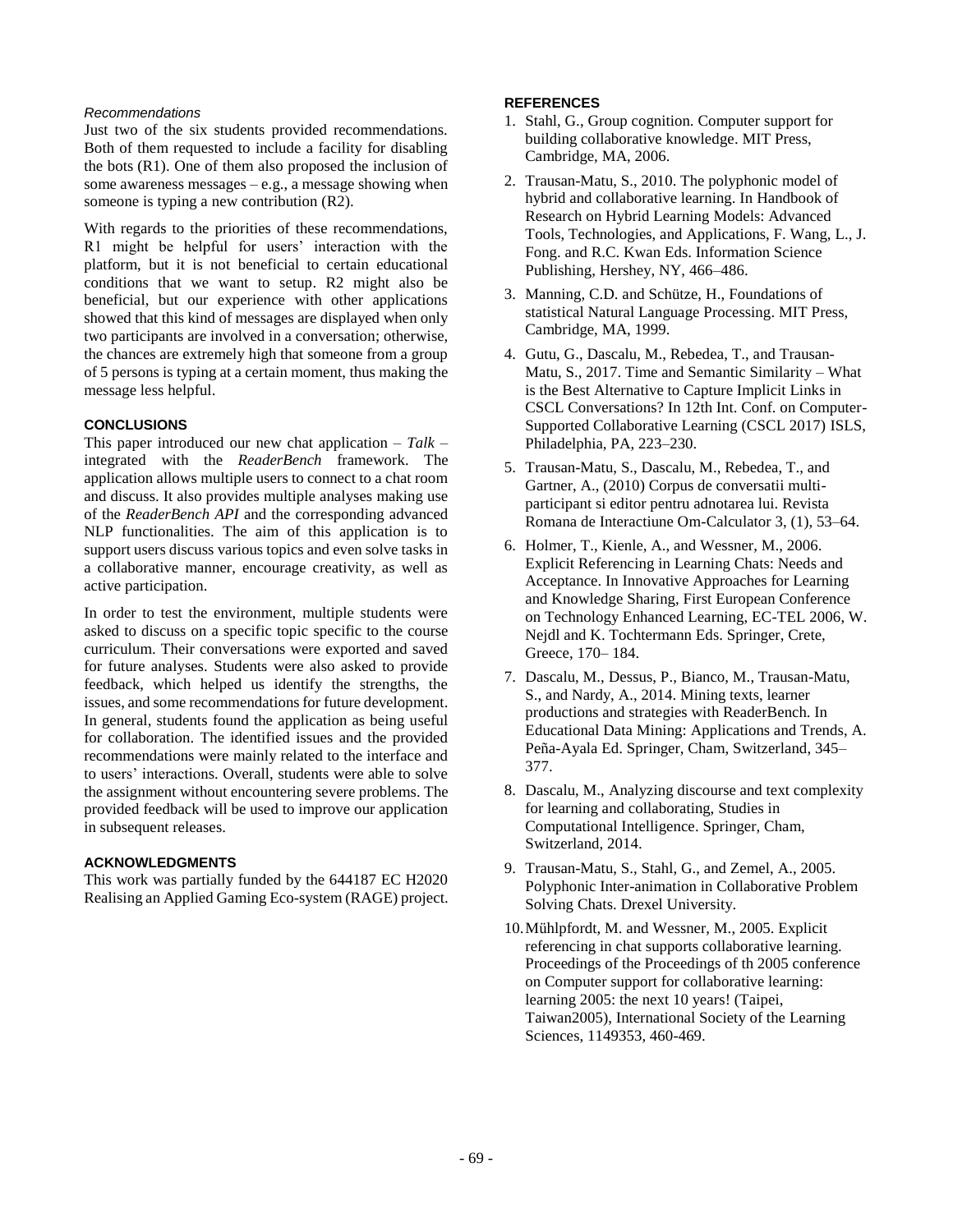### *Recommendations*

Just two of the six students provided recommendations. Both of them requested to include a facility for disabling the bots  $(R1)$ . One of them also proposed the inclusion of some awareness messages – e.g., a message showing when someone is typing a new contribution (R2).

With regards to the priorities of these recommendations, R1 might be helpful for users' interaction with the platform, but it is not beneficial to certain educational conditions that we want to setup. R2 might also be beneficial, but our experience with other applications showed that this kind of messages are displayed when only two participants are involved in a conversation; otherwise, the chances are extremely high that someone from a group of 5 persons is typing at a certain moment, thus making the message less helpful.

# **CONCLUSIONS**

This paper introduced our new chat application – *Talk* – integrated with the *ReaderBench* framework. The application allows multiple users to connect to a chat room and discuss. It also provides multiple analyses making use of the *ReaderBench API* and the corresponding advanced NLP functionalities. The aim of this application is to support users discuss various topics and even solve tasks in a collaborative manner, encourage creativity, as well as active participation.

In order to test the environment, multiple students were asked to discuss on a specific topic specific to the course curriculum. Their conversations were exported and saved for future analyses. Students were also asked to provide feedback, which helped us identify the strengths, the issues, and some recommendations for future development. In general, students found the application as being useful for collaboration. The identified issues and the provided recommendations were mainly related to the interface and to users' interactions. Overall, students were able to solve the assignment without encountering severe problems. The provided feedback will be used to improve our application in subsequent releases.

#### **ACKNOWLEDGMENTS**

This work was partially funded by the 644187 EC H2020 Realising an Applied Gaming Eco-system (RAGE) project.

# **REFERENCES**

- 1. Stahl, G., Group cognition. Computer support for building collaborative knowledge. MIT Press, Cambridge, MA, 2006.
- 2. Trausan-Matu, S., 2010. The polyphonic model of hybrid and collaborative learning. In Handbook of Research on Hybrid Learning Models: Advanced Tools, Technologies, and Applications, F. Wang, L., J. Fong. and R.C. Kwan Eds. Information Science Publishing, Hershey, NY, 466–486.
- 3. Manning, C.D. and Schütze, H., Foundations of statistical Natural Language Processing. MIT Press, Cambridge, MA, 1999.
- 4. Gutu, G., Dascalu, M., Rebedea, T., and Trausan-Matu, S., 2017. Time and Semantic Similarity – What is the Best Alternative to Capture Implicit Links in CSCL Conversations? In 12th Int. Conf. on Computer-Supported Collaborative Learning (CSCL 2017) ISLS, Philadelphia, PA, 223–230.
- 5. Trausan-Matu, S., Dascalu, M., Rebedea, T., and Gartner, A., (2010) Corpus de conversatii multiparticipant si editor pentru adnotarea lui. Revista Romana de Interactiune Om-Calculator 3, (1), 53–64.
- 6. Holmer, T., Kienle, A., and Wessner, M., 2006. Explicit Referencing in Learning Chats: Needs and Acceptance. In Innovative Approaches for Learning and Knowledge Sharing, First European Conference on Technology Enhanced Learning, EC-TEL 2006, W. Nejdl and K. Tochtermann Eds. Springer, Crete, Greece, 170– 184.
- 7. Dascalu, M., Dessus, P., Bianco, M., Trausan-Matu, S., and Nardy, A., 2014. Mining texts, learner productions and strategies with ReaderBench. In Educational Data Mining: Applications and Trends, A. Peña-Ayala Ed. Springer, Cham, Switzerland, 345– 377.
- 8. Dascalu, M., Analyzing discourse and text complexity for learning and collaborating, Studies in Computational Intelligence. Springer, Cham, Switzerland, 2014.
- 9. Trausan-Matu, S., Stahl, G., and Zemel, A., 2005. Polyphonic Inter-animation in Collaborative Problem Solving Chats. Drexel University.
- 10.Mühlpfordt, M. and Wessner, M., 2005. Explicit referencing in chat supports collaborative learning. Proceedings of the Proceedings of th 2005 conference on Computer support for collaborative learning: learning 2005: the next 10 years! (Taipei, Taiwan2005), International Society of the Learning Sciences, 1149353, 460-469.